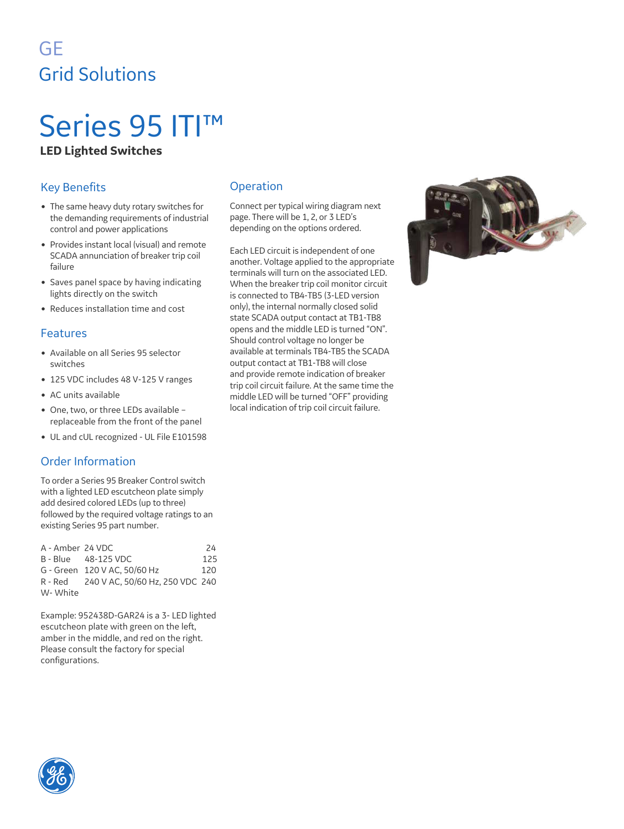# GE Grid Solutions

# Series 95 ITI™ **LED Lighted Switches**

## Key Benefits

- The same heavy duty rotary switches for the demanding requirements of industrial control and power applications
- Provides instant local (visual) and remote SCADA annunciation of breaker trip coil failure
- Saves panel space by having indicating lights directly on the switch
- Reduces installation time and cost

#### Features

- Available on all Series 95 selector switches
- 125 VDC includes 48 V-125 V ranges
- AC units available
- One, two, or three LEDs available replaceable from the front of the panel
- UL and cUL recognized UL File E101598

### Order Information

To order a Series 95 Breaker Control switch with a lighted LED escutcheon plate simply add desired colored LEDs (up to three) followed by the required voltage ratings to an existing Series 95 part number.

| A - Amber 24 VDC |                                         | 24  |
|------------------|-----------------------------------------|-----|
|                  | B - Blue 48-125 VDC                     | 125 |
|                  | G - Green 120 V AC, 50/60 Hz            | 120 |
|                  | R - Red 240 V AC, 50/60 Hz, 250 VDC 240 |     |
| W-White          |                                         |     |

Example: 952438D-GAR24 is a 3- LED lighted escutcheon plate with green on the left, amber in the middle, and red on the right. Please consult the factory for special configurations.

### Operation

Connect per typical wiring diagram next page. There will be 1, 2, or 3 LED's depending on the options ordered.

Each LED circuit is independent of one another. Voltage applied to the appropriate terminals will turn on the associated LED. When the breaker trip coil monitor circuit is connected to TB4-TB5 (3-LED version only), the internal normally closed solid state SCADA output contact at TB1-TB8 opens and the middle LED is turned "ON". Should control voltage no longer be available at terminals TB4-TB5 the SCADA output contact at TB1-TB8 will close and provide remote indication of breaker trip coil circuit failure. At the same time the middle LED will be turned "OFF" providing local indication of trip coil circuit failure.